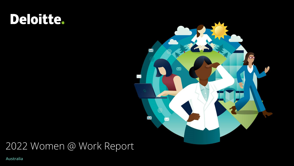# Deloitte.



# 2022 Women @ Work Report

**Australia**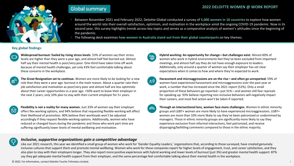

- Between November 2021 and February 2022, Deloitte Global conducted a survey of **5,000 women in 10 countries** to explore how women around the world rate their overall satisfaction, optimism, and motivation in the workplace amid the ongoing COVID-19 pandemic. Now in its second year, this survey highlights trends across key topics and serves as a comparative analysis of women's attitudes since the beginning of the pandemic.
- The following deck examines **how women in Australia stand out from their global counterparts** on key themes.

### **Key global findings:**



 $\mathbb{E}^{\mathsf{Q}}$ 

**Widespread burnout: fueled by rising stress levels**. 53% of women say their stress levels are higher than they were a year ago, and almost half feel burned out. Almost half say their mental health is poor/very poor. One-third have taken time off work because of mental health challenges, yet only 43% feel comfortable talking about these concerns in the workplace.

**The Great Resignation set to continue.** Women are more likely to be looking for a new role than they were a year ago: burnout is the main reason. About a quarter rate their job satisfaction and motivation as poor/very poor and almost half are less optimistic about their career opportunities vs a year ago. >50% want to leave their employer in the next 2 years; only 10% plan to stay with their current employer for 5+ years.



**Flexibility is not a reality for many women.** Just 33% of women say their employer offers flex working options, and 94% believe that requesting flexible-working will affect their likelihood of promotion. 90% believe their workloads won't be adjusted accordingly if they request flexible-working options. Additionally, women who have reduced or changed hours during the pandemic and those who work part-time are suffering significantly lower levels of mental wellbeing and motivation.

- **Hybrid working: An opportunity for change—but challenges exist**. Almost 60% of  $\bigoplus$ women who work in hybrid environments feel they've been excluded from important meetings, and almost half say they do not have enough exposure to leaders. Additionally, only around a quarter of women say their employer has set clear expectations when it comes to how and where they're expected to work.
- <u>ුං)</u>

**Harassment and microaggressions are on the rise—and often go unreported.** 59% of women have experienced harassment and microaggressions over the past year at work, a number that has increased since the 2021 report (52%). Only a small proportion of these behaviors go reported—just 31%—and women still fear reprisals for speaking up: 93% believe reporting non-inclusive behaviors will negatively impact their careers, and most feel action won't be taken if reported.

**Through an intersectional lens, women face more challenges.** Women in ethnic minority groups and LGBT+ women are more likely to have experienced microaggressions. LGBT+ women are more than 10% more likely to say they've been patronized or undermined by managers. Those in ethnic minority groups are significantly more likely to say they experience exclusion from informal interactions, feel patronized, and receive disparaging/belittling comments compared to those in the ethnic majority.

### *Inclusive, supportive organizations gain a competitive advantage*

Like our 2021 research, this year we identified a small group of women who work for 'Gender Equality Leaders,' organizations that, according to those surveyed, have created genuinely inclusive cultures that support them and promote mental wellbeing. Women who work for these companies report far higher levels of engagement, trust, and career satisfaction, and they also plan to stay with their employers longer. They also report more positive experiences with hybrid working and lower levels of burnout (just 3%) and greater mental health support: 87% say they get adequate mental health support from their employer, and the same percentage feel comfortable talking about their mental health in the workplace.

© 2022. For information, contact Deloitte Touche Tohmatsu Limited.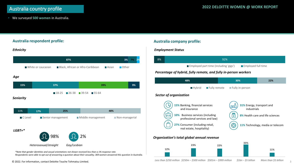• We surveyed **500 women** in Australia.

# **Australia respondent profile:** *LGBT+\* \*Note that gender identities and sexual orientations not shown received less than a 1% response rate. Ethnicity Seniority Age Heterosexual/straight Gay/Lesbian*  98% 2% 11% **17% 25% 48%**  $\Box$  C Level  $\Box$  Senior management  $\Box$  Middle management  $\Box$  Non-managerial **15% 37% 39% 9%**  $18-25$  26-38 39-54 55-64 **87% 3% 7% 2%** ■ White or caucasian ■ Black, African or Afro-Caribbean ■ Asian ■ Other

*Respondents were able to opt out of answering a question about their sexuality; 369 women answered this question in Australia.*

### **Australia company profile:**

### *Employment Status*

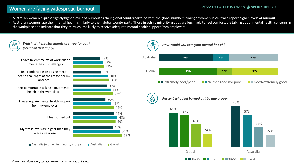### Women are facing widespread burnout **2022 DELOITTE WOMEN @ WORK REPORT**

• Australian women express slightly higher levels of burnout as their global counterparts. As with the global numbers, younger women in Australia report higher levels of burnout.

Australian women rate their mental health similarly to their global counterparts. Those in ethnic minority groups are less likely to feel comfortable talking about mental health concerns in the workplace and indicate that they're much less likely to receive adequate mental health support from employers.

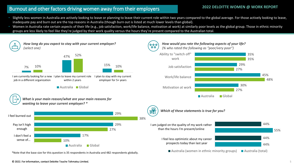## **2022 DELOITTE WOMEN @ WORK REPORT** Burnout and other factors driving women away from their employers

- Slightly less women in Australia are actively looking to leave or planning to leave their current role within two years compared to the global average. For those actively looking to leave, inadequate pay and burn out are the top reasons in Australia (though burn out is listed at much lower levels than global).
- Women in Australia rate certain aspects of their life (e.g., job satisfaction, work/life balance, motivation at work) at similarly poor levels as the global group. Those in ethnic minority groups are less likely to feel like they're judged by their work quality versus the hours they're present compared to the Australian total.

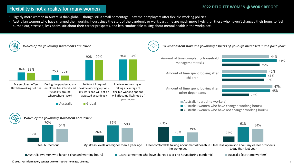### **2022 DELOITTE WOMEN @ WORK REPORT** Flexibility is not a reality for many women

- Slightly more women in Australia than global—though still a small percentage—say their employers offer flexible-working policies.
- Australian women who have changed their working hours since the start of the pandemic or work part time are much more likely than those who haven't changed their hours to feel burned out, stressed, less optimistic about their career prospects, and less comfortable talking about mental health in the workplace.

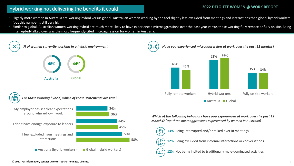### **2022 DELOITTE WOMEN @ WORK REPORT** Hybrid working not delivering the benefits it could

- Slightly more women in Australia are working hybrid versus global. Australian women working hybrid feel slightly less excluded from meetings and interactions than global hybrid workers (but this number is still very high).
- Similar to global, Australian women working hybrid are much more likely to have experienced microaggressions over the past year versus those working fully remote or fully on site. Being interrupted/talked over was the most frequently-cited microaggression for women in Australia.

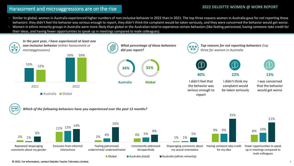## **2022 DELOITTE WOMEN @ WORK REPORT** Harassment and microaggressions are on the rise

- Similar to global, women in Australia experienced higher numbers of non-inclusive behavior in 2022 than in 2021. The top three reasons women in Australia gave for not reporting these behaviors: they didn't feel the behavior was serious enough to report, they didn't think the complaint would be taken seriously, and they were concerned the behavior would get worse.
- Women in ethnic minority groups in Australia were more likely than global or the Australian total to experience certain behaviors (like feeling patronized, having someone take credit for their ideas, and having fewer opportunities to speak up in meetings compared to male colleagues).





© 2022. For information, contact Deloitte Touche Tohmatsu Limited.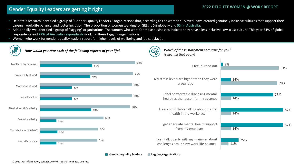## **2022 DELOITTE WOMEN @ WORK REPORT** Gender Equality Leaders are getting it right

- 
- Deloitte's research identified a group of "Gender Equality Leaders," organizations that, according to the women surveyed, have created genuinely inclusive cultures that support their careers, work/life balance, and foster inclusion. The proportion of women working for GELs is 5% globally and **5% in Australia.**
- Additionally, we identified a group of "lagging" organizations. The women who work for these businesses indicate they have a less inclusive, low-trust culture. This year 24% of global respondents and **27% of Australia respondents** work for these Lagging organizations
- Women who work for gender equality leaders report far higher levels of wellbeing and job satisfaction